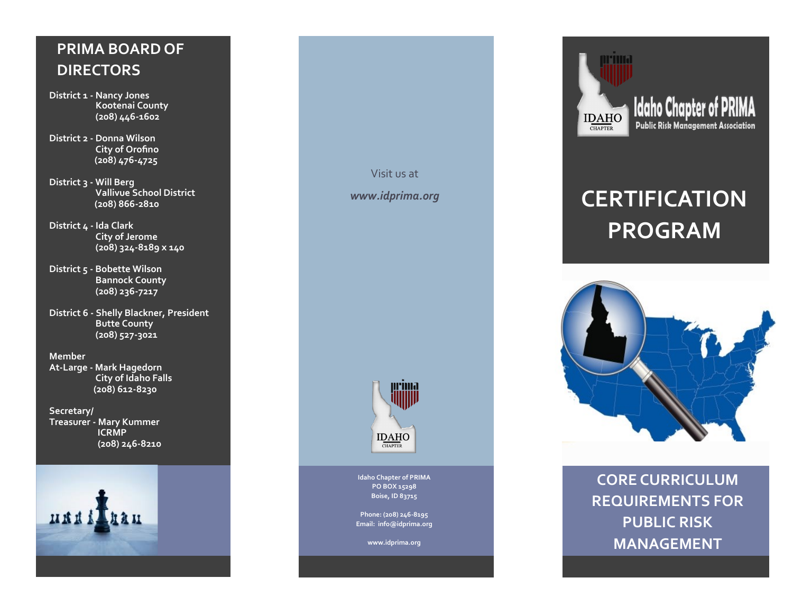## **PRIMA BOARD OF DIRECTORS**

- **District 1 - Nancy Jones Kootenai County (208) 446 -1602**
- **District 2 - Donna Wilson City of Orofino (208) 476 -4725**
- **District 3 - Will Berg Vallivue School District (208) 866 -2810**
- **District 4 - Ida Clark City of Jerome (208) 324 -8189 x 140**
- **District 5 - Bobette Wilson Bannock County (208) 236 -7217**
- **District 6 - Shelly Blackner, President Butte County (208) 527 -3021**

**Member**

**At -Large - Mark Hagedorn City of Idaho Falls (208) 612 -8230**

**Secretary/ Treasurer - Mary Kummer ICRMP (208) 246 -8210**







**Idaho Chapter of PRIMA PO BOX 15298 Boise, ID 83715**

**Phone: (208) 246 -8195 Email: info@idprima.org**

**www.idprima.org**



# **CERTIFICATION PROGRAM**



**CORE CURRICULUM REQUIREMENTS FOR PUBLIC RISK MANAGEMENT**